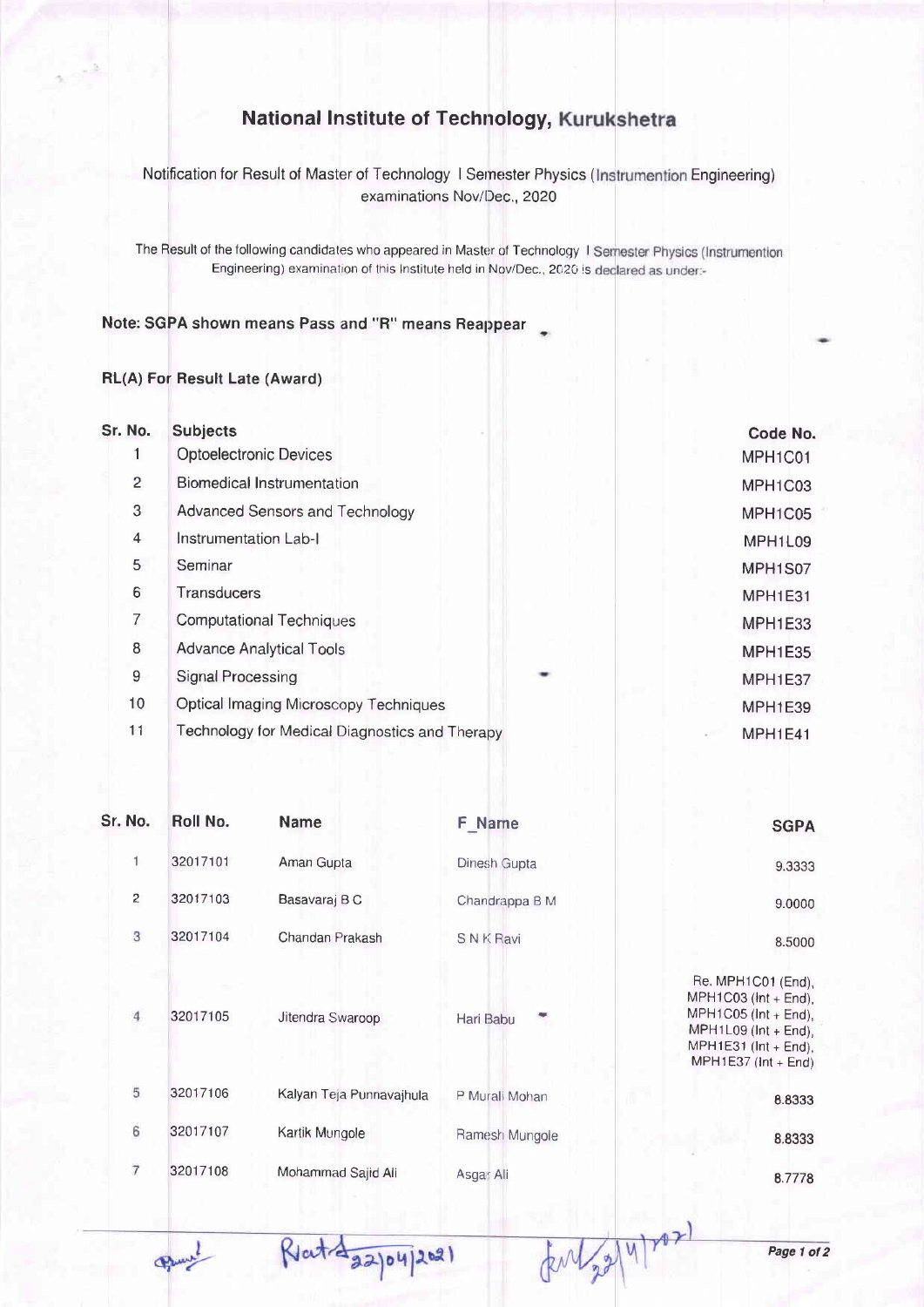## **National Institute of Technology, Kurukshetra**

Notification for Result of Master of Technology I Semester Physics (Instrumention Engineering examinations Nov/Dec., 2020

The Result of the following candidates who appeared in Master of Technology I Semester Physics (Instrumention Engineering) examination of this Institute held in Nov/Dec., 2020 is declared as under:-

Note: SGPA shown means Pass and "R" means Reappear +

## RL(A) For Besult Late (Award)

| Sr. No.        | <b>Subjects</b>                                |                | Code No. |
|----------------|------------------------------------------------|----------------|----------|
|                | <b>Optoelectronic Devices</b>                  | MPH1C01        |          |
| $\overline{2}$ | <b>Biomedical Instrumentation</b>              | MPH1C03        |          |
| 3              | Advanced Sensors and Technology                | MPH1C05        |          |
| $\overline{4}$ | Instrumentation Lab-I                          | MPH1L09        |          |
| 5              | Seminar                                        | MPH1S07        |          |
| 6              | <b>Transducers</b>                             |                | MPH1E31  |
| 7              | <b>Computational Techniques</b>                | <b>MPH1E33</b> |          |
| 8              | <b>Advance Analytical Tools</b>                |                | MPH1E35  |
| 9              | Signal Processing                              |                | MPH1E37  |
| 10             | <b>Optical Imaging Microscopy Techniques</b>   |                | MPH1E39  |
| 11             | Technology for Medical Diagnostics and Therapy |                | MPH1E41  |

| Sr. No.        | Roll No. | <b>Name</b>              | <b>F</b> Name   | <b>SGPA</b>                                                                                                                                         |
|----------------|----------|--------------------------|-----------------|-----------------------------------------------------------------------------------------------------------------------------------------------------|
| 1              | 32017101 | Aman Gupta               | Dinesh Gupta    | 9.3333                                                                                                                                              |
| $\overline{2}$ | 32017103 | Basavaraj B C            | Chandrappa B M  | 9.0000                                                                                                                                              |
| 3              | 32017104 | Chandan Prakash          | <b>SNK Ravi</b> | 8.5000                                                                                                                                              |
| 4              | 32017105 | Jitendra Swaroop         | Hari Babu       | Re. MPH1C01 (End),<br>MPH1C03 ( $int + End$ ),<br>$MPH1CO5$ (Int + End),<br>MPH1L09 (Int + End),<br>$MPH1E31$ (Int + End),<br>$MPH1E37$ (Int + End) |
| 5              | 32017106 | Kalyan Teja Punnavajhula | P Murali Mohan  | 8.8333                                                                                                                                              |
| 6              | 32017107 | Kartik Mungole           | Ramesh Mungole  | 8.8333                                                                                                                                              |
| 7              | 32017108 | Mohammad Sajid Ali       | Asgar Ali       | 8.7778                                                                                                                                              |

 $\Phi$ 

 $Ricit\frac{1}{2204}$ 2021

Page 1 ot 2

Enlag 4/22/